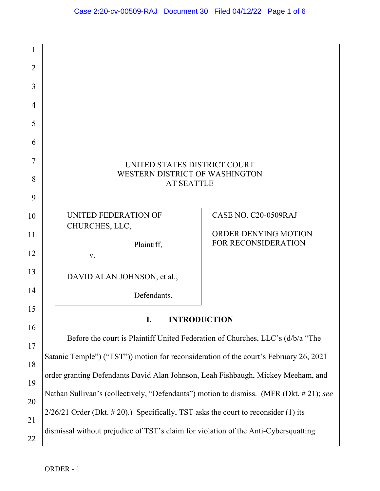| 1              |                                                                                        |                                              |
|----------------|----------------------------------------------------------------------------------------|----------------------------------------------|
| $\overline{2}$ |                                                                                        |                                              |
| 3              |                                                                                        |                                              |
| 4              |                                                                                        |                                              |
| 5              |                                                                                        |                                              |
| 6              |                                                                                        |                                              |
| 7<br>8<br>9    | UNITED STATES DISTRICT COURT<br>WESTERN DISTRICT OF WASHINGTON<br><b>AT SEATTLE</b>    |                                              |
| 10<br>11       | UNITED FEDERATION OF<br>CHURCHES, LLC,                                                 | CASE NO. C20-0509RAJ<br>ORDER DENYING MOTION |
| 12             | Plaintiff,<br>V.                                                                       | FOR RECONSIDERATION                          |
| 13             | DAVID ALAN JOHNSON, et al.,                                                            |                                              |
| 14             | Defendants.                                                                            |                                              |
| 15             | <b>INTRODUCTION</b>                                                                    |                                              |
| 16<br>17       | Before the court is Plaintiff United Federation of Churches, LLC's (d/b/a "The         |                                              |
| 18             | Satanic Temple") ("TST")) motion for reconsideration of the court's February 26, 2021  |                                              |
| 19             | order granting Defendants David Alan Johnson, Leah Fishbaugh, Mickey Meeham, and       |                                              |
| 20             | Nathan Sullivan's (collectively, "Defendants") motion to dismiss. (MFR (Dkt. #21); see |                                              |
| 21             | $2/26/21$ Order (Dkt. #20).) Specifically, TST asks the court to reconsider (1) its    |                                              |
| 22             | dismissal without prejudice of TST's claim for violation of the Anti-Cybersquatting    |                                              |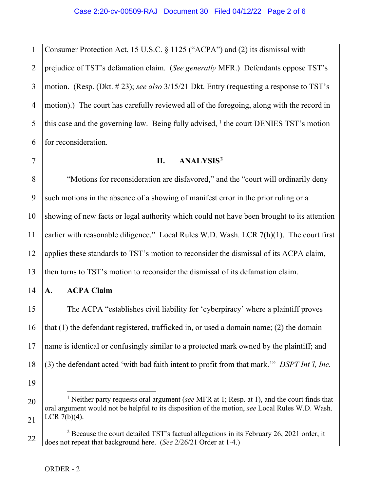1 2 3 4 5 6 Consumer Protection Act, 15 U.S.C. § 1125 ("ACPA") and (2) its dismissal with prejudice of TST's defamation claim. (*See generally* MFR.) Defendants oppose TST's motion. (Resp. (Dkt. # 23); *see also* 3/15/21 Dkt. Entry (requesting a response to TST's motion).) The court has carefully reviewed all of the foregoing, along with the record in this case and the governing law. Being fully advised,  $\frac{1}{1}$  $\frac{1}{1}$  $\frac{1}{1}$  the court DENIES TST's motion for reconsideration.

7

## **II. ANALYSIS[2](#page-1-1)**

8 9 10 11 12 13 "Motions for reconsideration are disfavored," and the "court will ordinarily deny such motions in the absence of a showing of manifest error in the prior ruling or a showing of new facts or legal authority which could not have been brought to its attention earlier with reasonable diligence." Local Rules W.D. Wash. LCR 7(h)(1). The court first applies these standards to TST's motion to reconsider the dismissal of its ACPA claim, then turns to TST's motion to reconsider the dismissal of its defamation claim.

## **A. ACPA Claim**

The ACPA "establishes civil liability for 'cyberpiracy' where a plaintiff proves that (1) the defendant registered, trafficked in, or used a domain name; (2) the domain name is identical or confusingly similar to a protected mark owned by the plaintiff; and (3) the defendant acted 'with bad faith intent to profit from that mark.'" *DSPT Int'l, Inc.* 

19

14

15

16

17

18

<span id="page-1-0"></span><sup>20</sup> 21 <sup>1</sup> Neither party requests oral argument (*see* MFR at 1; Resp. at 1), and the court finds that oral argument would not be helpful to its disposition of the motion, *see* Local Rules W.D. Wash. LCR  $7(b)(4)$ .

<span id="page-1-1"></span><sup>22</sup>  $2$  Because the court detailed TST's factual allegations in its February 26, 2021 order, it does not repeat that background here. (*See* 2/26/21 Order at 1-4.)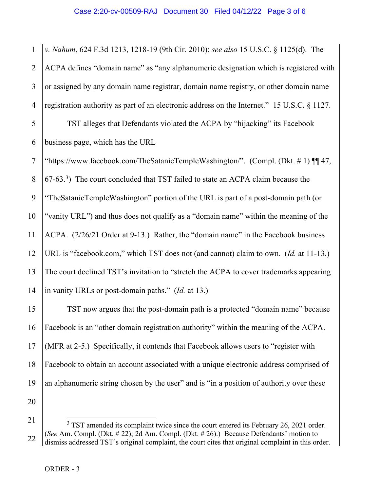1 2 3 4 *v. Nahum*, 624 F.3d 1213, 1218-19 (9th Cir. 2010); *see also* 15 U.S.C. § 1125(d). The ACPA defines "domain name" as "any alphanumeric designation which is registered with or assigned by any domain name registrar, domain name registry, or other domain name registration authority as part of an electronic address on the Internet." 15 U.S.C. § 1127.

5 6 TST alleges that Defendants violated the ACPA by "hijacking" its Facebook business page, which has the URL

7 8 9 10 11 12 13 14 "https://www.facebook.com/TheSatanicTempleWashington/". (Compl. (Dkt. # 1) ¶¶ 47,  $(67-63.3)$  $(67-63.3)$  $(67-63.3)$  The court concluded that TST failed to state an ACPA claim because the "TheSatanicTempleWashington" portion of the URL is part of a post-domain path (or "vanity URL") and thus does not qualify as a "domain name" within the meaning of the ACPA. (2/26/21 Order at 9-13.) Rather, the "domain name" in the Facebook business URL is "facebook.com," which TST does not (and cannot) claim to own. (*Id.* at 11-13.) The court declined TST's invitation to "stretch the ACPA to cover trademarks appearing in vanity URLs or post-domain paths." (*Id.* at 13.)

15 16 18 19 20 TST now argues that the post-domain path is a protected "domain name" because Facebook is an "other domain registration authority" within the meaning of the ACPA. (MFR at 2-5.) Specifically, it contends that Facebook allows users to "register with Facebook to obtain an account associated with a unique electronic address comprised of an alphanumeric string chosen by the user" and is "in a position of authority over these

<span id="page-2-0"></span>21 22  $3$  TST amended its complaint twice since the court entered its February 26, 2021 order. (*See* Am. Compl. (Dkt. # 22); 2d Am. Compl. (Dkt. # 26).) Because Defendants' motion to dismiss addressed TST's original complaint, the court cites that original complaint in this order.

17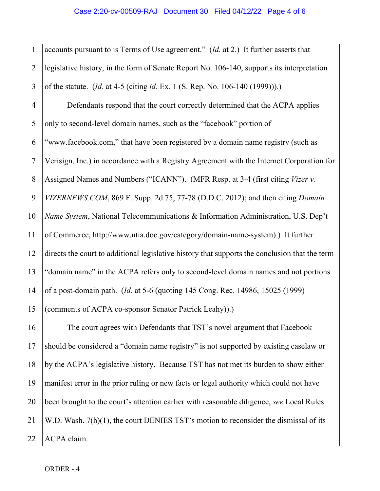1 2 3 accounts pursuant to is Terms of Use agreement." (*Id.* at 2.) It further asserts that legislative history, in the form of Senate Report No. 106-140, supports its interpretation of the statute. (*Id.* at 4-5 (citing *id.* Ex. 1 (S. Rep. No. 106-140 (1999))).)

4 5 6 7 8 9 10 11 12 13 14 15 Defendants respond that the court correctly determined that the ACPA applies only to second-level domain names, such as the "facebook" portion of "www.facebook.com," that have been registered by a domain name registry (such as Verisign, Inc.) in accordance with a Registry Agreement with the Internet Corporation for Assigned Names and Numbers ("ICANN"). (MFR Resp. at 3-4 (first citing *Vizer v. VIZERNEWS.COM*, 869 F. Supp. 2d 75, 77-78 (D.D.C. 2012); and then citing *Domain Name System*, National Telecommunications & Information Administration, U.S. Dep't of Commerce, http://www.ntia.doc.gov/category/domain-name-system).) It further directs the court to additional legislative history that supports the conclusion that the term "domain name" in the ACPA refers only to second-level domain names and not portions of a post-domain path. (*Id.* at 5-6 (quoting 145 Cong. Rec. 14986, 15025 (1999) (comments of ACPA co-sponsor Senator Patrick Leahy)).)

16 17 18 19 20 21 22 The court agrees with Defendants that TST's novel argument that Facebook should be considered a "domain name registry" is not supported by existing caselaw or by the ACPA's legislative history. Because TST has not met its burden to show either manifest error in the prior ruling or new facts or legal authority which could not have been brought to the court's attention earlier with reasonable diligence, *see* Local Rules W.D. Wash. 7(h)(1), the court DENIES TST's motion to reconsider the dismissal of its ACPA claim.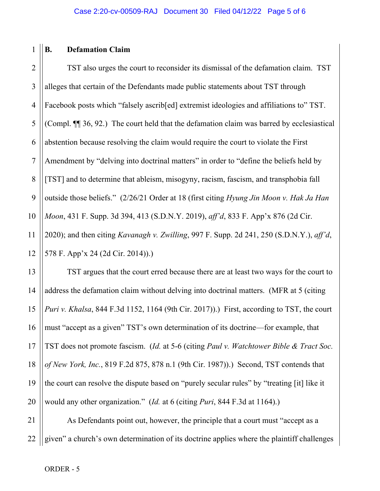## 1 **B. Defamation Claim**

2 3 4 5 6 7 8 9 10 11 12 TST also urges the court to reconsider its dismissal of the defamation claim. TST alleges that certain of the Defendants made public statements about TST through Facebook posts which "falsely ascrib<sup>[ed]</sup> extremist ideologies and affiliations to" TST. (Compl. ¶¶ 36, 92.) The court held that the defamation claim was barred by ecclesiastical abstention because resolving the claim would require the court to violate the First Amendment by "delving into doctrinal matters" in order to "define the beliefs held by [TST] and to determine that ableism, misogyny, racism, fascism, and transphobia fall outside those beliefs." (2/26/21 Order at 18 (first citing *Hyung Jin Moon v. Hak Ja Han Moon*, 431 F. Supp. 3d 394, 413 (S.D.N.Y. 2019), *aff'd*, 833 F. App'x 876 (2d Cir. 2020); and then citing *Kavanagh v. Zwilling*, 997 F. Supp. 2d 241, 250 (S.D.N.Y.), *aff'd*, 578 F. App'x 24 (2d Cir. 2014)).)

13 14 15 16 18 19 20 TST argues that the court erred because there are at least two ways for the court to address the defamation claim without delving into doctrinal matters. (MFR at 5 (citing *Puri v. Khalsa*, 844 F.3d 1152, 1164 (9th Cir. 2017)).) First, according to TST, the court must "accept as a given" TST's own determination of its doctrine—for example, that TST does not promote fascism. (*Id.* at 5-6 (citing *Paul v. Watchtower Bible & Tract Soc. of New York, Inc.*, 819 F.2d 875, 878 n.1 (9th Cir. 1987)).) Second, TST contends that the court can resolve the dispute based on "purely secular rules" by "treating [it] like it would any other organization." (*Id.* at 6 (citing *Puri*, 844 F.3d at 1164).)

21 22 As Defendants point out, however, the principle that a court must "accept as a given" a church's own determination of its doctrine applies where the plaintiff challenges

17